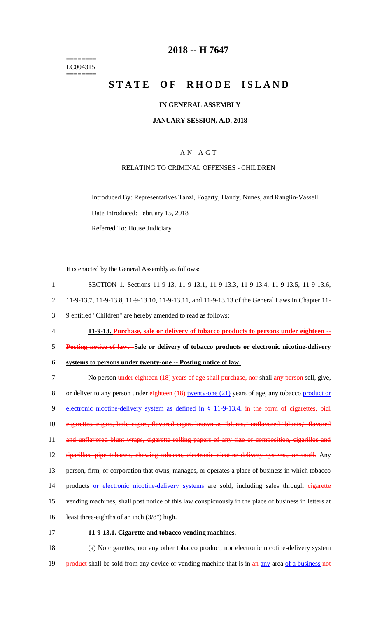======== LC004315 ========

## **2018 -- H 7647**

# **STATE OF RHODE ISLAND**

## **IN GENERAL ASSEMBLY**

#### **JANUARY SESSION, A.D. 2018 \_\_\_\_\_\_\_\_\_\_\_\_**

## A N A C T

### RELATING TO CRIMINAL OFFENSES - CHILDREN

Introduced By: Representatives Tanzi, Fogarty, Handy, Nunes, and Ranglin-Vassell Date Introduced: February 15, 2018 Referred To: House Judiciary

It is enacted by the General Assembly as follows:

 SECTION 1. Sections 11-9-13, 11-9-13.1, 11-9-13.3, 11-9-13.4, 11-9-13.5, 11-9-13.6, 11-9-13.7, 11-9-13.8, 11-9-13.10, 11-9-13.11, and 11-9-13.13 of the General Laws in Chapter 11- 9 entitled "Children" are hereby amended to read as follows: **11-9-13. Purchase, sale or delivery of tobacco products to persons under eighteen -- Posting notice of law. Sale or delivery of tobacco products or electronic nicotine-delivery systems to persons under twenty-one -- Posting notice of law.** 7 No person under eighteen (18) years of age shall purchase, nor shall any person sell, give, 8 or deliver to any person under eighteen (18) twenty-one (21) years of age, any tobacco product or 9 electronic nicotine-delivery system as defined in § 11-9-13.4. in the form of cigarettes, bidi cigarettes, cigars, little cigars, flavored cigars known as "blunts," unflavored "blunts," flavored 11 and unflavored blunt wraps, cigarette rolling papers of any size or composition, cigarillos and 12 tiparillos, pipe tobacco, chewing tobacco, electronic nicotine-delivery systems, or snuff. Any person, firm, or corporation that owns, manages, or operates a place of business in which tobacco 14 products or electronic nicotine-delivery systems are sold, including sales through eigarette vending machines, shall post notice of this law conspicuously in the place of business in letters at least three-eighths of an inch (3/8") high. **11-9-13.1. Cigarette and tobacco vending machines.**

18 (a) No cigarettes, nor any other tobacco product, nor electronic nicotine-delivery system 19 product shall be sold from any device or vending machine that is in an any area of a business not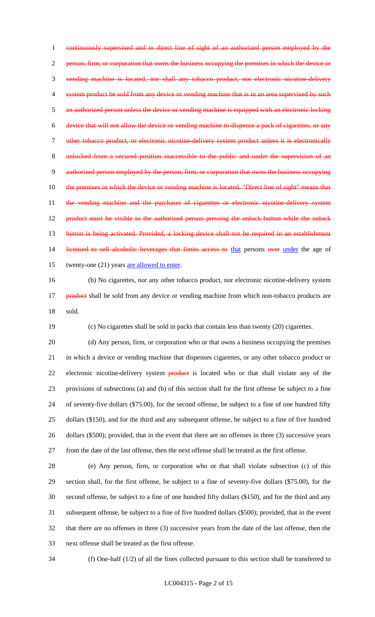continuously supervised and in direct line of sight of an authorized person employed by the person, firm, or corporation that owns the business occupying the premises in which the device or vending machine is located, nor shall any tobacco product, nor electronic nicotine-delivery 4 system product be sold from any device or vending machine that is in an area supervised by such 5 an authorized person unless the device or vending machine is equipped with an electronic locking device that will not allow the device or vending machine to dispense a pack of cigarettes, or any other tobacco product, or electronic nicotine-delivery system product unless it is electronically unlocked from a secured position inaccessible to the public and under the supervision of an 9 authorized person employed by the person, firm, or corporation that owns the business occupying 10 the premises in which the device or vending machine is located. "Direct line of sight" means that 11 the vending machine and the purchaser of cigarettes or electronic nicotine-delivery system 12 product must be visible to the authorized person pressing the unlock button while the unlock 13 button is being activated. Provided, a locking device shall not be required in an establishment 14 licensed to sell alcoholic beverages that limits access to that persons over under the age of 15 twenty-one (21) years <u>are allowed to enter</u>.

 (b) No cigarettes, nor any other tobacco product, nor electronic nicotine-delivery system **product** shall be sold from any device or vending machine from which non-tobacco products are sold.

(c) No cigarettes shall be sold in packs that contain less than twenty (20) cigarettes.

 (d) Any person, firm, or corporation who or that owns a business occupying the premises in which a device or vending machine that dispenses cigarettes, or any other tobacco product or 22 electronic nicotine-delivery system **product** is located who or that shall violate any of the provisions of subsections (a) and (b) of this section shall for the first offense be subject to a fine of seventy-five dollars (\$75.00), for the second offense, be subject to a fine of one hundred fifty dollars (\$150), and for the third and any subsequent offense, be subject to a fine of five hundred dollars (\$500); provided, that in the event that there are no offenses in three (3) successive years from the date of the last offense, then the next offense shall be treated as the first offense.

 (e) Any person, firm, or corporation who or that shall violate subsection (c) of this section shall, for the first offense, be subject to a fine of seventy-five dollars (\$75.00), for the second offense, be subject to a fine of one hundred fifty dollars (\$150), and for the third and any subsequent offense, be subject to a fine of five hundred dollars (\$500); provided, that in the event that there are no offenses in three (3) successive years from the date of the last offense, then the next offense shall be treated as the first offense.

(f) One-half (1/2) of all the fines collected pursuant to this section shall be transferred to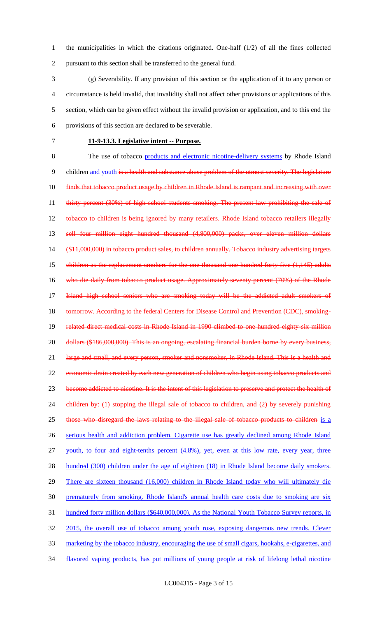1 the municipalities in which the citations originated. One-half (1/2) of all the fines collected 2 pursuant to this section shall be transferred to the general fund.

 (g) Severability. If any provision of this section or the application of it to any person or circumstance is held invalid, that invalidity shall not affect other provisions or applications of this section, which can be given effect without the invalid provision or application, and to this end the provisions of this section are declared to be severable.

## 7 **11-9-13.3. Legislative intent -- Purpose.**

8 The use of tobacco products and electronic nicotine-delivery systems by Rhode Island 9 children and youth is a health and substance abuse problem of the utmost severity. The legislature 10 finds that tobacco product usage by children in Rhode Island is rampant and increasing with over 11 thirty percent (30%) of high school students smoking. The present law prohibiting the sale of 12 tobacco to children is being ignored by many retailers. Rhode Island tobacco retailers illegally 13 sell four million eight hundred thousand (4,800,000) packs, over eleven million dollars 14 (\$11,000,000) in tobacco product sales, to children annually. Tobacco industry advertising targets 15 children as the replacement smokers for the one thousand one hundred forty-five (1,145) adults 16 who die daily from tobacco product usage. Approximately seventy percent (70%) of the Rhode 17 Island high school seniors who are smoking today will be the addicted adult smokers of 18 tomorrow. According to the federal Centers for Disease Control and Prevention (CDC), smoking-19 related direct medical costs in Rhode Island in 1990 climbed to one hundred eighty-six million 20 dollars (\$186,000,000). This is an ongoing, escalating financial burden borne by every business, 21 large and small, and every person, smoker and nonsmoker, in Rhode Island. This is a health and 22 economic drain created by each new generation of children who begin using tobacco products and 23 become addicted to nicotine. It is the intent of this legislation to preserve and protect the health of 24 children by: (1) stopping the illegal sale of tobacco to children, and (2) by severely punishing 25 those who disregard the laws relating to the illegal sale of tobacco products to children is a 26 serious health and addiction problem. Cigarette use has greatly declined among Rhode Island 27 youth, to four and eight-tenths percent (4.8%), yet, even at this low rate, every year, three 28 hundred (300) children under the age of eighteen (18) in Rhode Island become daily smokers. 29 There are sixteen thousand (16,000) children in Rhode Island today who will ultimately die 30 prematurely from smoking. Rhode Island's annual health care costs due to smoking are six 31 hundred forty million dollars (\$640,000,000). As the National Youth Tobacco Survey reports, in 32 2015, the overall use of tobacco among youth rose, exposing dangerous new trends. Clever 33 marketing by the tobacco industry, encouraging the use of small cigars, hookahs, e-cigarettes, and 34 flavored vaping products, has put millions of young people at risk of lifelong lethal nicotine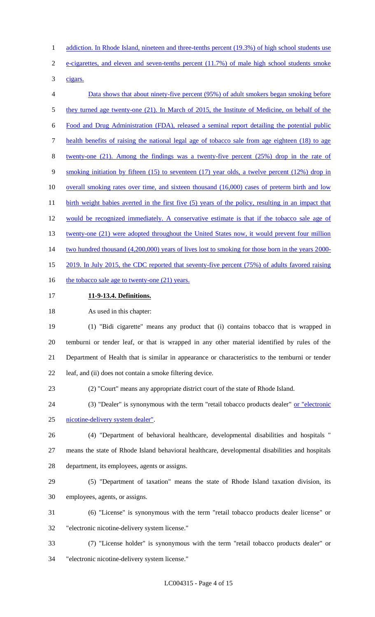addiction. In Rhode Island, nineteen and three-tenths percent (19.3%) of high school students use

- 2 e-cigarettes, and eleven and seven-tenths percent (11.7%) of male high school students smoke
- cigars.
- Data shows that about ninety-five percent (95%) of adult smokers began smoking before they turned age twenty-one (21). In March of 2015, the Institute of Medicine, on behalf of the Food and Drug Administration (FDA), released a seminal report detailing the potential public health benefits of raising the national legal age of tobacco sale from age eighteen (18) to age twenty-one (21). Among the findings was a twenty-five percent (25%) drop in the rate of smoking initiation by fifteen (15) to seventeen (17) year olds, a twelve percent (12%) drop in 10 overall smoking rates over time, and sixteen thousand (16,000) cases of preterm birth and low 11 birth weight babies averted in the first five (5) years of the policy, resulting in an impact that would be recognized immediately. A conservative estimate is that if the tobacco sale age of 13 twenty-one (21) were adopted throughout the United States now, it would prevent four million 14 two hundred thousand (4,200,000) years of lives lost to smoking for those born in the years 2000- 2019. In July 2015, the CDC reported that seventy-five percent (75%) of adults favored raising 16 the tobacco sale age to twenty-one (21) years. **11-9-13.4. Definitions.** As used in this chapter: (1) "Bidi cigarette" means any product that (i) contains tobacco that is wrapped in temburni or tender leaf, or that is wrapped in any other material identified by rules of the Department of Health that is similar in appearance or characteristics to the temburni or tender
- leaf, and (ii) does not contain a smoke filtering device.
- (2) "Court" means any appropriate district court of the state of Rhode Island.

24 (3) "Dealer" is synonymous with the term "retail tobacco products dealer" or "electronic nicotine-delivery system dealer".

 (4) "Department of behavioral healthcare, developmental disabilities and hospitals " means the state of Rhode Island behavioral healthcare, developmental disabilities and hospitals department, its employees, agents or assigns.

 (5) "Department of taxation" means the state of Rhode Island taxation division, its employees, agents, or assigns.

- (6) "License" is synonymous with the term "retail tobacco products dealer license" or "electronic nicotine-delivery system license."
- (7) "License holder" is synonymous with the term "retail tobacco products dealer" or "electronic nicotine-delivery system license."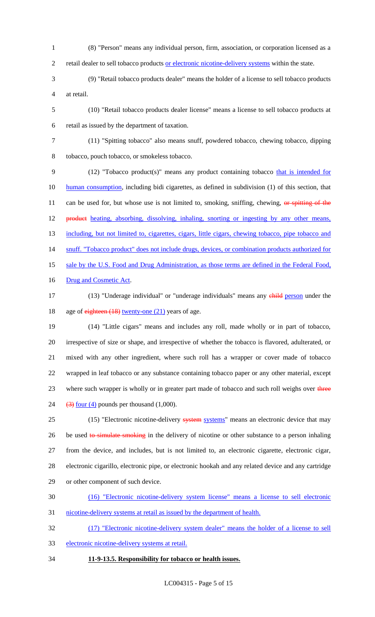- 1 (8) "Person" means any individual person, firm, association, or corporation licensed as a 2 retail dealer to sell tobacco products or electronic nicotine-delivery systems within the state.
- 3 (9) "Retail tobacco products dealer" means the holder of a license to sell tobacco products 4 at retail.
- 5 (10) "Retail tobacco products dealer license" means a license to sell tobacco products at 6 retail as issued by the department of taxation.
- 

7 (11) "Spitting tobacco" also means snuff, powdered tobacco, chewing tobacco, dipping 8 tobacco, pouch tobacco, or smokeless tobacco.

9 (12) "Tobacco product(s)" means any product containing tobacco that is intended for 10 human consumption, including bidi cigarettes, as defined in subdivision (1) of this section, that 11 can be used for, but whose use is not limited to, smoking, sniffing, chewing, or spitting of the 12 product heating, absorbing, dissolving, inhaling, snorting or ingesting by any other means, 13 including, but not limited to, cigarettes, cigars, little cigars, chewing tobacco, pipe tobacco and 14 snuff. "Tobacco product" does not include drugs, devices, or combination products authorized for 15 sale by the U.S. Food and Drug Administration, as those terms are defined in the Federal Food, 16 Drug and Cosmetic Act.

17 (13) "Underage individual" or "underage individuals" means any child person under the 18 age of eighteen (18) twenty-one (21) years of age.

 (14) "Little cigars" means and includes any roll, made wholly or in part of tobacco, irrespective of size or shape, and irrespective of whether the tobacco is flavored, adulterated, or mixed with any other ingredient, where such roll has a wrapper or cover made of tobacco wrapped in leaf tobacco or any substance containing tobacco paper or any other material, except 23 where such wrapper is wholly or in greater part made of tobacco and such roll weighs over three  $\left(3\right)$  four (4) pounds per thousand (1,000).

25 (15) "Electronic nicotine-delivery systems systems" means an electronic device that may 26 be used to simulate smoking in the delivery of nicotine or other substance to a person inhaling 27 from the device, and includes, but is not limited to, an electronic cigarette, electronic cigar, 28 electronic cigarillo, electronic pipe, or electronic hookah and any related device and any cartridge 29 or other component of such device.

- 30 (16) "Electronic nicotine-delivery system license" means a license to sell electronic
- 31 nicotine-delivery systems at retail as issued by the department of health.

32 (17) "Electronic nicotine-delivery system dealer" means the holder of a license to sell

33 electronic nicotine-delivery systems at retail.

## 34 **11-9-13.5. Responsibility for tobacco or health issues.**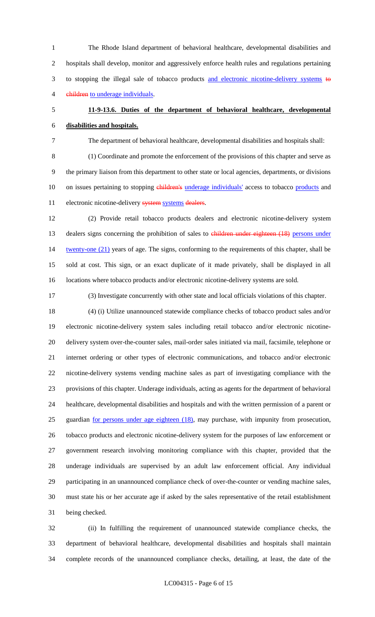The Rhode Island department of behavioral healthcare, developmental disabilities and hospitals shall develop, monitor and aggressively enforce health rules and regulations pertaining 3 to stopping the illegal sale of tobacco products and electronic nicotine-delivery systems to 4 children to underage individuals.

# **11-9-13.6. Duties of the department of behavioral healthcare, developmental disabilities and hospitals.**

The department of behavioral healthcare, developmental disabilities and hospitals shall:

 (1) Coordinate and promote the enforcement of the provisions of this chapter and serve as the primary liaison from this department to other state or local agencies, departments, or divisions 10 on issues pertaining to stopping children's underage individuals' access to tobacco products and 11 electronic nicotine-delivery system systems dealers.

 (2) Provide retail tobacco products dealers and electronic nicotine-delivery system 13 dealers signs concerning the prohibition of sales to children under eighteen (18) persons under 14 twenty-one (21) years of age. The signs, conforming to the requirements of this chapter, shall be sold at cost. This sign, or an exact duplicate of it made privately, shall be displayed in all locations where tobacco products and/or electronic nicotine-delivery systems are sold.

(3) Investigate concurrently with other state and local officials violations of this chapter.

 (4) (i) Utilize unannounced statewide compliance checks of tobacco product sales and/or electronic nicotine-delivery system sales including retail tobacco and/or electronic nicotine- delivery system over-the-counter sales, mail-order sales initiated via mail, facsimile, telephone or internet ordering or other types of electronic communications, and tobacco and/or electronic nicotine-delivery systems vending machine sales as part of investigating compliance with the provisions of this chapter. Underage individuals, acting as agents for the department of behavioral healthcare, developmental disabilities and hospitals and with the written permission of a parent or guardian for persons under age eighteen (18), may purchase, with impunity from prosecution, tobacco products and electronic nicotine-delivery system for the purposes of law enforcement or government research involving monitoring compliance with this chapter, provided that the underage individuals are supervised by an adult law enforcement official. Any individual participating in an unannounced compliance check of over-the-counter or vending machine sales, must state his or her accurate age if asked by the sales representative of the retail establishment being checked.

 (ii) In fulfilling the requirement of unannounced statewide compliance checks, the department of behavioral healthcare, developmental disabilities and hospitals shall maintain complete records of the unannounced compliance checks, detailing, at least, the date of the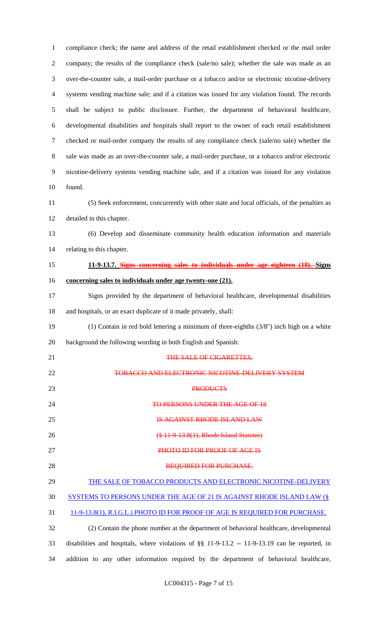compliance check; the name and address of the retail establishment checked or the mail order company; the results of the compliance check (sale/no sale); whether the sale was made as an over-the-counter sale, a mail-order purchase or a tobacco and/or or electronic nicotine-delivery systems vending machine sale; and if a citation was issued for any violation found. The records shall be subject to public disclosure. Further, the department of behavioral healthcare, developmental disabilities and hospitals shall report to the owner of each retail establishment checked or mail-order company the results of any compliance check (sale/no sale) whether the sale was made as an over-the-counter sale, a mail-order purchase, or a tobacco and/or electronic nicotine-delivery systems vending machine sale, and if a citation was issued for any violation found. (5) Seek enforcement, concurrently with other state and local officials, of the penalties as detailed in this chapter. (6) Develop and disseminate community health education information and materials relating to this chapter. **11-9-13.7. Signs concerning sales to individuals under age eighteen (18). Signs concerning sales to individuals under age twenty-one (21).** Signs provided by the department of behavioral healthcare, developmental disabilities and hospitals, or an exact duplicate of it made privately, shall: (1) Contain in red bold lettering a minimum of three-eighths (3/8") inch high on a white background the following wording in both English and Spanish: 21 THE SALE OF CIGARETTES, TOBACCO AND ELECTRONIC NICOTINE-DELIVERY SYSTEM 23 PRODUCTS 24 TO PERSONS UNDER THE AGE OF 18 IS AGAINST RHODE ISLAND LAW (§ 11-9-13.8(1), Rhode Island Statutes) 27 PHOTO ID FOR PROOF OF AGE IS REQUIRED FOR PURCHASE. THE SALE OF TOBACCO PRODUCTS AND ELECTRONIC NICOTINE-DELIVERY SYSTEMS TO PERSONS UNDER THE AGE OF 21 IS AGAINST RHODE ISLAND LAW (§ 11-9-13.8(1), R.I.G.L.) PHOTO ID FOR PROOF OF AGE IS REQUIRED FOR PURCHASE. (2) Contain the phone number at the department of behavioral healthcare, developmental disabilities and hospitals, where violations of §§ 11-9-13.2 -- 11-9-13.19 can be reported, in addition to any other information required by the department of behavioral healthcare,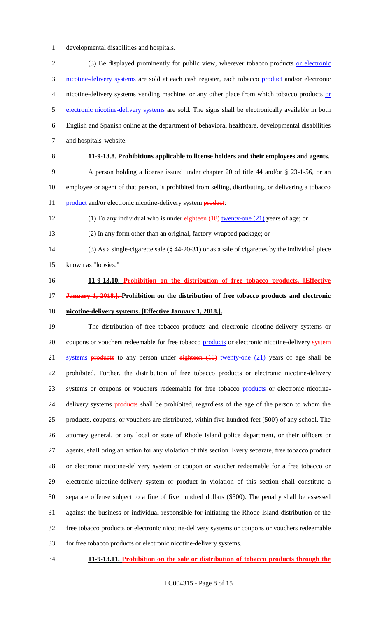developmental disabilities and hospitals.

2 (3) Be displayed prominently for public view, wherever tobacco products or electronic nicotine-delivery systems are sold at each cash register, each tobacco product and/or electronic nicotine-delivery systems vending machine, or any other place from which tobacco products or 5 electronic nicotine-delivery systems are sold. The signs shall be electronically available in both English and Spanish online at the department of behavioral healthcare, developmental disabilities and hospitals' website.

# **11-9-13.8. Prohibitions applicable to license holders and their employees and agents.**

 A person holding a license issued under chapter 20 of title 44 and/or § 23-1-56, or an employee or agent of that person, is prohibited from selling, distributing, or delivering a tobacco 11 product and/or electronic nicotine-delivery system product:

12 (1) To any individual who is under eighteen (18) twenty-one (21) years of age; or

(2) In any form other than an original, factory-wrapped package; or

 (3) As a single-cigarette sale (§ 44-20-31) or as a sale of cigarettes by the individual piece known as "loosies."

- **11-9-13.10. Prohibition on the distribution of free tobacco products. [Effective January 1, 2018.]. Prohibition on the distribution of free tobacco products and electronic**
- **nicotine-delivery systems. [Effective January 1, 2018.].**

 The distribution of free tobacco products and electronic nicotine-delivery systems or 20 coupons or vouchers redeemable for free tobacco **products** or electronic nicotine-delivery system 21 systems products to any person under eighteen (18) twenty-one (21) years of age shall be prohibited. Further, the distribution of free tobacco products or electronic nicotine-delivery systems or coupons or vouchers redeemable for free tobacco products or electronic nicotine-24 delivery systems **products** shall be prohibited, regardless of the age of the person to whom the products, coupons, or vouchers are distributed, within five hundred feet (500') of any school. The attorney general, or any local or state of Rhode Island police department, or their officers or agents, shall bring an action for any violation of this section. Every separate, free tobacco product or electronic nicotine-delivery system or coupon or voucher redeemable for a free tobacco or electronic nicotine-delivery system or product in violation of this section shall constitute a separate offense subject to a fine of five hundred dollars (\$500). The penalty shall be assessed against the business or individual responsible for initiating the Rhode Island distribution of the free tobacco products or electronic nicotine-delivery systems or coupons or vouchers redeemable for free tobacco products or electronic nicotine-delivery systems.

**11-9-13.11. Prohibition on the sale or distribution of tobacco products through the**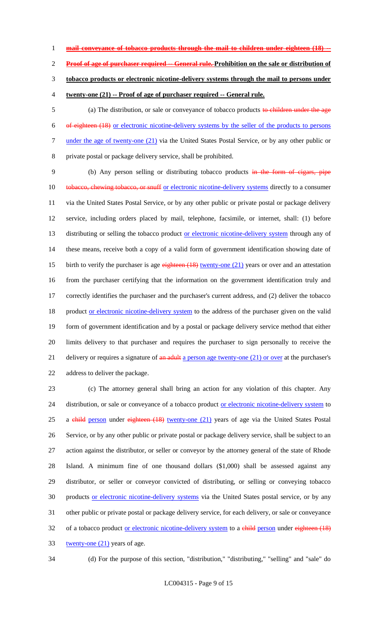- **mail conveyance of tobacco products through the mail to children under eighteen (18)**
- **Proof of age of purchaser required -- General rule. Prohibition on the sale or distribution of**
- **tobacco products or electronic nicotine-delivery systems through the mail to persons under**
- **twenty-one (21) -- Proof of age of purchaser required -- General rule.**
- 5 (a) The distribution, or sale or conveyance of tobacco products to children under the age of eighteen (18) or electronic nicotine-delivery systems by the seller of the products to persons 7 under the age of twenty-one (21) via the United States Postal Service, or by any other public or private postal or package delivery service, shall be prohibited.
- (b) Any person selling or distributing tobacco products in the form of cigars, pipe 10 tobacco, chewing tobacco, or snuff or electronic nicotine-delivery systems directly to a consumer via the United States Postal Service, or by any other public or private postal or package delivery service, including orders placed by mail, telephone, facsimile, or internet, shall: (1) before 13 distributing or selling the tobacco product or electronic nicotine-delivery system through any of these means, receive both a copy of a valid form of government identification showing date of 15 birth to verify the purchaser is age eighteen (18) twenty-one (21) years or over and an attestation from the purchaser certifying that the information on the government identification truly and correctly identifies the purchaser and the purchaser's current address, and (2) deliver the tobacco 18 product or electronic nicotine-delivery system to the address of the purchaser given on the valid form of government identification and by a postal or package delivery service method that either limits delivery to that purchaser and requires the purchaser to sign personally to receive the 21 delivery or requires a signature of an adult a person age twenty-one (21) or over at the purchaser's address to deliver the package.
- (c) The attorney general shall bring an action for any violation of this chapter. Any 24 distribution, or sale or conveyance of a tobacco product <u>or electronic nicotine-delivery system</u> to 25 a child person under eighteen (18) twenty-one (21) years of age via the United States Postal Service, or by any other public or private postal or package delivery service, shall be subject to an action against the distributor, or seller or conveyor by the attorney general of the state of Rhode Island. A minimum fine of one thousand dollars (\$1,000) shall be assessed against any distributor, or seller or conveyor convicted of distributing, or selling or conveying tobacco 30 products or electronic nicotine-delivery systems via the United States postal service, or by any other public or private postal or package delivery service, for each delivery, or sale or conveyance 32 of a tobacco product <u>or electronic nicotine-delivery system</u> to a child person under eighteen (18) 33 twenty-one (21) years of age.
- 

(d) For the purpose of this section, "distribution," "distributing," "selling" and "sale" do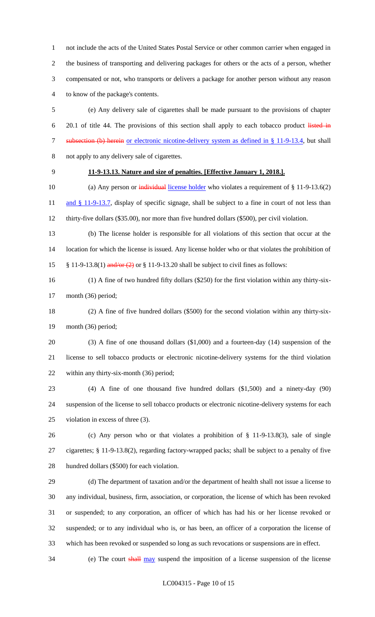not include the acts of the United States Postal Service or other common carrier when engaged in the business of transporting and delivering packages for others or the acts of a person, whether compensated or not, who transports or delivers a package for another person without any reason to know of the package's contents.

 (e) Any delivery sale of cigarettes shall be made pursuant to the provisions of chapter 6 20.1 of title 44. The provisions of this section shall apply to each tobacco product listed in 7 subsection (b) herein or electronic nicotine-delivery system as defined in § 11-9-13.4, but shall not apply to any delivery sale of cigarettes.

## **11-9-13.13. Nature and size of penalties. [Effective January 1, 2018.].**

10 (a) Any person or individual license holder who violates a requirement of § 11-9-13.6(2) 11 and § 11-9-13.7, display of specific signage, shall be subject to a fine in court of not less than thirty-five dollars (\$35.00), nor more than five hundred dollars (\$500), per civil violation.

 (b) The license holder is responsible for all violations of this section that occur at the location for which the license is issued. Any license holder who or that violates the prohibition of 15  $\frac{\sqrt{11-9-13.8(1) \text{ and/or } (2)}}{20 \text{ of } (2.1) \text{ and/or } (2.1) \text{ of } (2.1) \text{ of } (2.1) \text{ of } (2.1) \text{ of } (2.1) \text{ of } (2.1) \text{ of } (2.1) \text{ of } (2.1) \text{ of } (2.1) \text{ of } (2.1) \text{ of } (2.1) \text{ of } (2.1) \text{ of } (2.1) \text{ of } (2.1) \text{ of } (2.1) \text{ of } (2.1) \text{ of } (2.1) \text{ of } (2$ 

 (1) A fine of two hundred fifty dollars (\$250) for the first violation within any thirty-six-17 month (36) period;

 (2) A fine of five hundred dollars (\$500) for the second violation within any thirty-six-month (36) period;

 (3) A fine of one thousand dollars (\$1,000) and a fourteen-day (14) suspension of the license to sell tobacco products or electronic nicotine-delivery systems for the third violation 22 within any thirty-six-month (36) period;

 (4) A fine of one thousand five hundred dollars (\$1,500) and a ninety-day (90) suspension of the license to sell tobacco products or electronic nicotine-delivery systems for each violation in excess of three (3).

 (c) Any person who or that violates a prohibition of § 11-9-13.8(3), sale of single cigarettes; § 11-9-13.8(2), regarding factory-wrapped packs; shall be subject to a penalty of five hundred dollars (\$500) for each violation.

 (d) The department of taxation and/or the department of health shall not issue a license to any individual, business, firm, association, or corporation, the license of which has been revoked or suspended; to any corporation, an officer of which has had his or her license revoked or suspended; or to any individual who is, or has been, an officer of a corporation the license of which has been revoked or suspended so long as such revocations or suspensions are in effect.

34 (e) The court shall may suspend the imposition of a license suspension of the license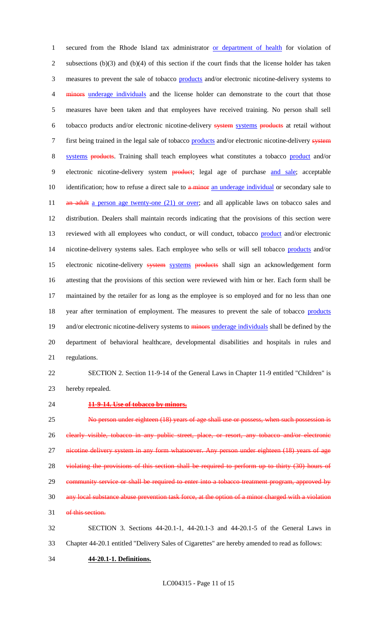1 secured from the Rhode Island tax administrator or department of health for violation of 2 subsections (b)(3) and (b)(4) of this section if the court finds that the license holder has taken 3 measures to prevent the sale of tobacco products and/or electronic nicotine-delivery systems to 4 minors underage individuals and the license holder can demonstrate to the court that those 5 measures have been taken and that employees have received training. No person shall sell 6 tobacco products and/or electronic nicotine-delivery system systems products at retail without 7 first being trained in the legal sale of tobacco products and/or electronic nicotine-delivery system 8 systems products. Training shall teach employees what constitutes a tobacco product and/or 9 electronic nicotine-delivery system **product**; legal age of purchase and sale; acceptable 10 identification; how to refuse a direct sale to a minor an underage individual or secondary sale to 11 an adult a person age twenty-one (21) or over; and all applicable laws on tobacco sales and 12 distribution. Dealers shall maintain records indicating that the provisions of this section were 13 reviewed with all employees who conduct, or will conduct, tobacco **product** and/or electronic 14 nicotine-delivery systems sales. Each employee who sells or will sell tobacco products and/or 15 electronic nicotine-delivery systems systems products shall sign an acknowledgement form 16 attesting that the provisions of this section were reviewed with him or her. Each form shall be 17 maintained by the retailer for as long as the employee is so employed and for no less than one 18 year after termination of employment. The measures to prevent the sale of tobacco products 19 and/or electronic nicotine-delivery systems to minors underage individuals shall be defined by the 20 department of behavioral healthcare, developmental disabilities and hospitals in rules and 21 regulations.

# 22 SECTION 2. Section 11-9-14 of the General Laws in Chapter 11-9 entitled "Children" is 23 hereby repealed.

### 24 **11-9-14. Use of tobacco by minors.**

 No person under eighteen (18) years of age shall use or possess, when such possession is 26 clearly visible, tobacco in any public street, place, or resort, any tobacco and/or electronic **nicotine delivery system in any form whatsoever. Any person under eighteen (18) years of age**  violating the provisions of this section shall be required to perform up to thirty (30) hours of 29 community service or shall be required to enter into a tobacco treatment program, approved by any local substance abuse prevention task force, at the option of a minor charged with a violation of this section.

32 SECTION 3. Sections 44-20.1-1, 44-20.1-3 and 44-20.1-5 of the General Laws in 33 Chapter 44-20.1 entitled "Delivery Sales of Cigarettes" are hereby amended to read as follows:

34 **44-20.1-1. Definitions.**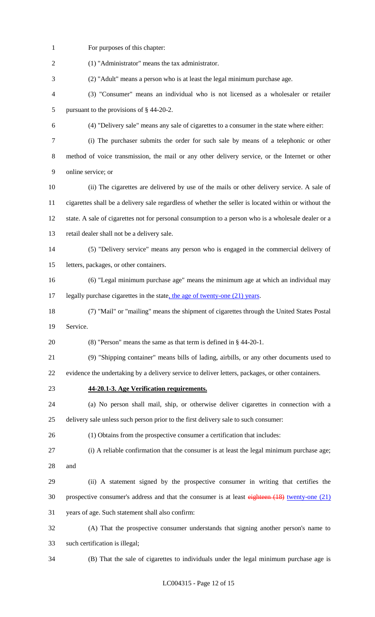For purposes of this chapter: (1) "Administrator" means the tax administrator. (2) "Adult" means a person who is at least the legal minimum purchase age. (3) "Consumer" means an individual who is not licensed as a wholesaler or retailer pursuant to the provisions of § 44-20-2. (4) "Delivery sale" means any sale of cigarettes to a consumer in the state where either: (i) The purchaser submits the order for such sale by means of a telephonic or other method of voice transmission, the mail or any other delivery service, or the Internet or other online service; or (ii) The cigarettes are delivered by use of the mails or other delivery service. A sale of cigarettes shall be a delivery sale regardless of whether the seller is located within or without the state. A sale of cigarettes not for personal consumption to a person who is a wholesale dealer or a retail dealer shall not be a delivery sale. (5) "Delivery service" means any person who is engaged in the commercial delivery of letters, packages, or other containers. (6) "Legal minimum purchase age" means the minimum age at which an individual may 17 legally purchase cigarettes in the state, the age of twenty-one (21) years. (7) "Mail" or "mailing" means the shipment of cigarettes through the United States Postal Service. (8) "Person" means the same as that term is defined in § 44-20-1. (9) "Shipping container" means bills of lading, airbills, or any other documents used to evidence the undertaking by a delivery service to deliver letters, packages, or other containers. **44-20.1-3. Age Verification requirements.** (a) No person shall mail, ship, or otherwise deliver cigarettes in connection with a delivery sale unless such person prior to the first delivery sale to such consumer: (1) Obtains from the prospective consumer a certification that includes: (i) A reliable confirmation that the consumer is at least the legal minimum purchase age; and (ii) A statement signed by the prospective consumer in writing that certifies the 30 prospective consumer's address and that the consumer is at least eighteen (18) twenty-one (21) years of age. Such statement shall also confirm: (A) That the prospective consumer understands that signing another person's name to such certification is illegal; (B) That the sale of cigarettes to individuals under the legal minimum purchase age is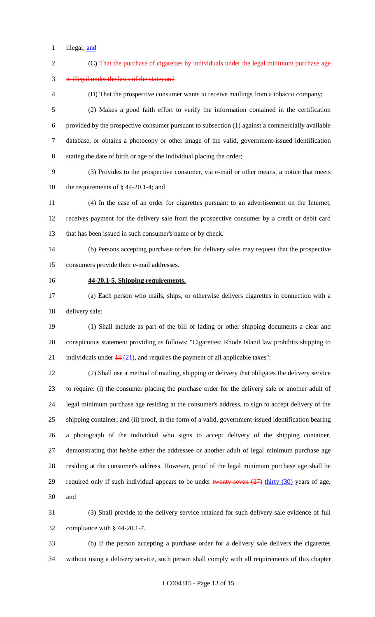1 illegal; <u>and</u>

| $\overline{2}$ | (C) That the purchase of cigarettes by individuals under the legal minimum purchase age              |
|----------------|------------------------------------------------------------------------------------------------------|
| 3              | is illegal under the laws of the state; and                                                          |
| 4              | (D) That the prospective consumer wants to receive mailings from a tobacco company;                  |
| 5              | (2) Makes a good faith effort to verify the information contained in the certification               |
| 6              | provided by the prospective consumer pursuant to subsection (1) against a commercially available     |
| 7              | database, or obtains a photocopy or other image of the valid, government-issued identification       |
| 8              | stating the date of birth or age of the individual placing the order;                                |
| 9              | (3) Provides to the prospective consumer, via e-mail or other means, a notice that meets             |
| 10             | the requirements of $\S$ 44-20.1-4; and                                                              |
| 11             | (4) In the case of an order for cigarettes pursuant to an advertisement on the Internet,             |
| 12             | receives payment for the delivery sale from the prospective consumer by a credit or debit card       |
| 13             | that has been issued in such consumer's name or by check.                                            |
| 14             | (b) Persons accepting purchase orders for delivery sales may request that the prospective            |
| 15             | consumers provide their e-mail addresses.                                                            |
| 16             | 44-20.1-5. Shipping requirements.                                                                    |
| 17             | (a) Each person who mails, ships, or otherwise delivers cigarettes in connection with a              |
| 18             | delivery sale:                                                                                       |
| 19             | (1) Shall include as part of the bill of lading or other shipping documents a clear and              |
| 20             | conspicuous statement providing as follows: "Cigarettes: Rhode Island law prohibits shipping to      |
| 21             | individuals under $\frac{18(21)}{21}$ , and requires the payment of all applicable taxes":           |
| 22             | (2) Shall use a method of mailing, shipping or delivery that obligates the delivery service          |
| 23             | to require: (i) the consumer placing the purchase order for the delivery sale or another adult of    |
| 24             | legal minimum purchase age residing at the consumer's address, to sign to accept delivery of the     |
| 25             | shipping container; and (ii) proof, in the form of a valid, government-issued identification bearing |
| 26             | a photograph of the individual who signs to accept delivery of the shipping container,               |
| 27             | demonstrating that he/she either the addressee or another adult of legal minimum purchase age        |
| 28             | residing at the consumer's address. However, proof of the legal minimum purchase age shall be        |
| 29             | required only if such individual appears to be under twenty-seven $(27)$ thirty $(30)$ years of age; |
| 30             | and                                                                                                  |
| 31             | (3) Shall provide to the delivery service retained for such delivery sale evidence of full           |
| 32             | compliance with $\S$ 44-20.1-7.                                                                      |
| 22             | (b) If the negative a number order for a delivery sele delivere the eigenstress                      |

 (b) If the person accepting a purchase order for a delivery sale delivers the cigarettes without using a delivery service, such person shall comply with all requirements of this chapter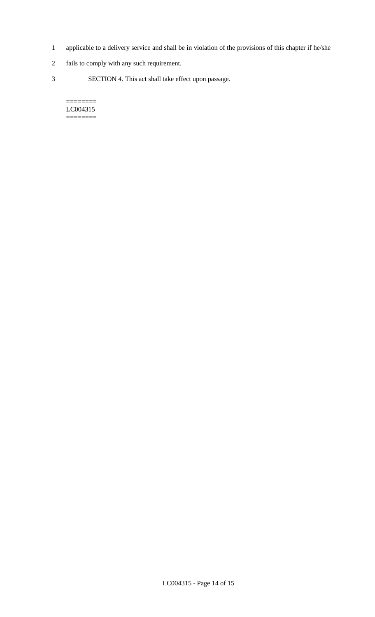- 1 applicable to a delivery service and shall be in violation of the provisions of this chapter if he/she
- 2 fails to comply with any such requirement.
- 3 SECTION 4. This act shall take effect upon passage.

#### $=$ LC004315 ========